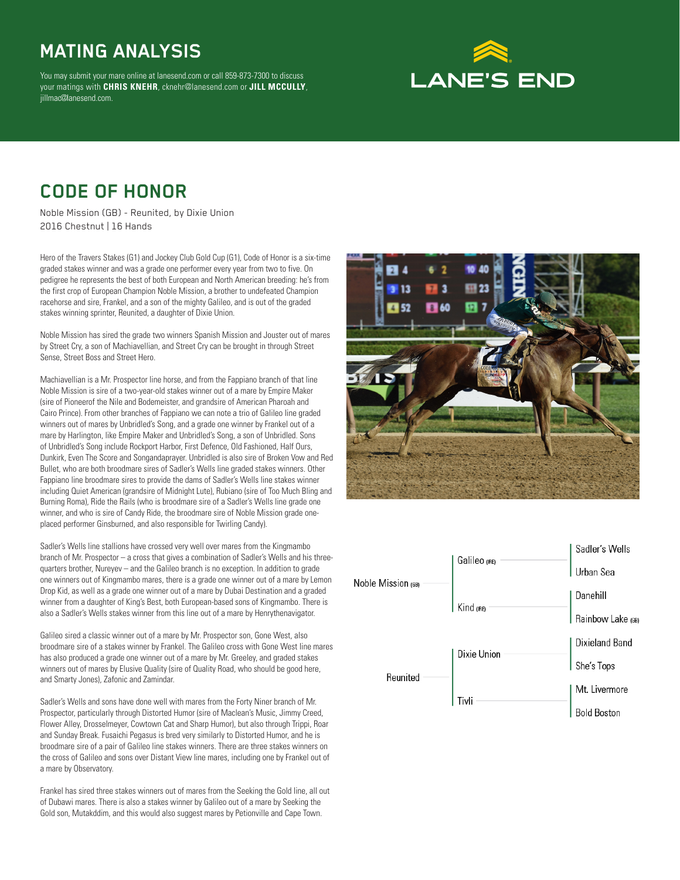## **MATING ANALYSIS**

You may submit your mare online at lanesend.com or call 859-873-7300 to discuss your matings with **CHRIS KNEHR**, cknehr@lanesend.com or **JILL MCCULLY**, jillmac@lanesend.com.

# **LANE'S END**

#### **CODE OF HONOR**

Noble Mission (GB) - Reunited, by Dixie Union 2016 Chestnut | 16 Hands

Hero of the Travers Stakes (G1) and Jockey Club Gold Cup (G1), Code of Honor is a six-time graded stakes winner and was a grade one performer every year from two to five. On pedigree he represents the best of both European and North American breeding: he's from the first crop of European Champion Noble Mission, a brother to undefeated Champion racehorse and sire, Frankel, and a son of the mighty Galileo, and is out of the graded stakes winning sprinter, Reunited, a daughter of Dixie Union.

Noble Mission has sired the grade two winners Spanish Mission and Jouster out of mares by Street Cry, a son of Machiavellian, and Street Cry can be brought in through Street Sense, Street Boss and Street Hero.

Machiavellian is a Mr. Prospector line horse, and from the Fappiano branch of that line Noble Mission is sire of a two-year-old stakes winner out of a mare by Empire Maker (sire of Pioneerof the Nile and Bodemeister, and grandsire of American Pharoah and Cairo Prince). From other branches of Fappiano we can note a trio of Galileo line graded winners out of mares by Unbridled's Song, and a grade one winner by Frankel out of a mare by Harlington, like Empire Maker and Unbridled's Song, a son of Unbridled. Sons of Unbridled's Song include Rockport Harbor, First Defence, Old Fashioned, Half Ours, Dunkirk, Even The Score and Songandaprayer. Unbridled is also sire of Broken Vow and Red Bullet, who are both broodmare sires of Sadler's Wells line graded stakes winners. Other Fappiano line broodmare sires to provide the dams of Sadler's Wells line stakes winner including Quiet American (grandsire of Midnight Lute), Rubiano (sire of Too Much Bling and Burning Roma), Ride the Rails (who is broodmare sire of a Sadler's Wells line grade one winner, and who is sire of Candy Ride, the broodmare sire of Noble Mission grade oneplaced performer Ginsburned, and also responsible for Twirling Candy).

Sadler's Wells line stallions have crossed very well over mares from the Kingmambo branch of Mr. Prospector – a cross that gives a combination of Sadler's Wells and his threequarters brother, Nureyev – and the Galileo branch is no exception. In addition to grade one winners out of Kingmambo mares, there is a grade one winner out of a mare by Lemon Drop Kid, as well as a grade one winner out of a mare by Dubai Destination and a graded winner from a daughter of King's Best, both European-based sons of Kingmambo. There is also a Sadler's Wells stakes winner from this line out of a mare by Henrythenavigator.

Galileo sired a classic winner out of a mare by Mr. Prospector son, Gone West, also broodmare sire of a stakes winner by Frankel. The Galileo cross with Gone West line mares has also produced a grade one winner out of a mare by Mr. Greeley, and graded stakes winners out of mares by Elusive Quality (sire of Quality Road, who should be good here, and Smarty Jones), Zafonic and Zamindar.

Sadler's Wells and sons have done well with mares from the Forty Niner branch of Mr. Prospector, particularly through Distorted Humor (sire of Maclean's Music, Jimmy Creed, Flower Alley, Drosselmeyer, Cowtown Cat and Sharp Humor), but also through Trippi, Roar and Sunday Break. Fusaichi Pegasus is bred very similarly to Distorted Humor, and he is broodmare sire of a pair of Galileo line stakes winners. There are three stakes winners on the cross of Galileo and sons over Distant View line mares, including one by Frankel out of a mare by Observatory.

Frankel has sired three stakes winners out of mares from the Seeking the Gold line, all out of Dubawi mares. There is also a stakes winner by Galileo out of a mare by Seeking the Gold son, Mutakddim, and this would also suggest mares by Petionville and Cape Town.